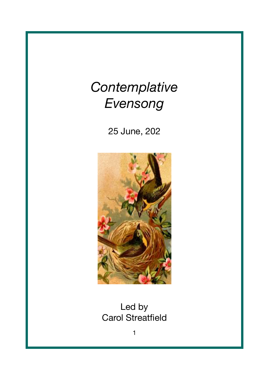## *Contemplative Evensong*

25 June, 202



Led by Carol Streatfield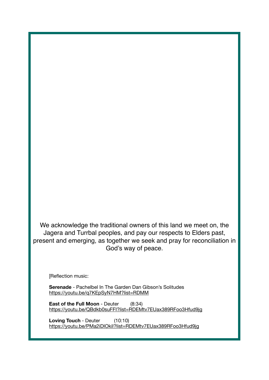We acknowledge the traditional owners of this land we meet on, the Jagera and Turrbal peoples, and pay our respects to Elders past, present and emerging, as together we seek and pray for reconciliation in God's way of peace.

[Reflection music:

**Serenade** - Pachelbel In The Garden Dan Gibson's Solitudes <https://youtu.be/q7KEpSyN7HM?list=RDMM>

**East of the Full Moon** - Deuter (8:34) <https://youtu.be/QBdkb0suFFI?list=RDEMtv7EUax389RFoo3Hfud9jg>

**Loving Touch** - Deuter (10:10) <https://youtu.be/PMa2iDlOkiI?list=RDEMtv7EUax389RFoo3Hfud9jg>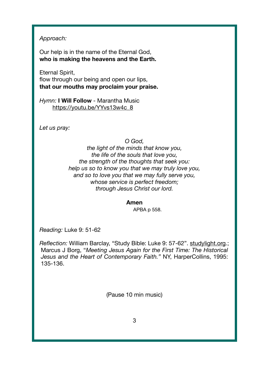*Approach:* 

 Our help is in the name of the Eternal God,  **who is making the heavens and the Earth.** 

 Eternal Spirit, flow through our being and open our lips,  **that our mouths may proclaim your praise.** 

 *Hymn:* **I Will Follow** - Marantha Music [https://youtu.be/YYvs13w4c\\_8](https://youtu.be/YYvs13w4c_8)

*Let us pray:*

*O God,* 

*the light of the minds that know you, the life of the souls that love you, the strength of the thoughts that seek you: help us so to know you that we may truly love you, and so to love you that we may fully serve you, whose service is perfect freedom; through Jesus Christ our lord.* 

**Amen** 

APBA p 558.

*Reading:* Luke 9: 51-62

 *Reflection:* William Barclay, "Study Bible: Luke 9: 57-62". [studylight.org.](http://studylight.org); Marcus J Borg, "*Meeting Jesus Again for the First Time: The Historical Jesus and the Heart of Contemporary Faith."* NY, HarperCollins, 1995: 135-136.

(Pause 10 min music)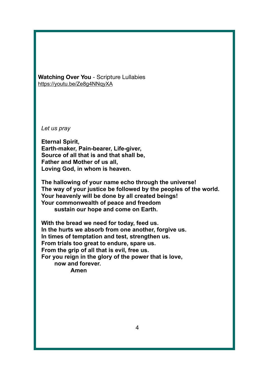**Watching Over You** - Scripture Lullabies <https://youtu.be/Ze8g4NNqyXA>

 *Let us pray*

 **Eternal Spirit, Earth-maker, Pain-bearer, Life-giver, Source of all that is and that shall be, Father and Mother of us all, Loving God, in whom is heaven.**

 **The hallowing of your name echo through the universe! The way of your justice be followed by the peoples of the world. Your heavenly will be done by all created beings! Your commonwealth of peace and freedom sustain our hope and come on Earth.**

 **With the bread we need for today, feed us. In the hurts we absorb from one another, forgive us. In times of temptation and test, strengthen us. From trials too great to endure, spare us. From the grip of all that is evil, free us. For you reign in the glory of the power that is love, now and forever. Amen**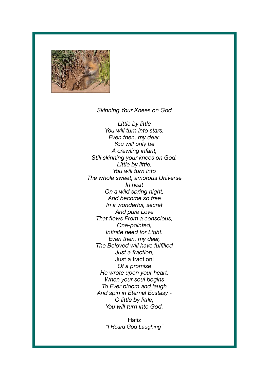

## *Skinning Your Knees on God*

*Little by little You will turn into stars. Even then, my dear, You will only be A crawling infant, Still skinning your knees on God. Little by little, You will turn into The whole sweet, amorous Universe In heat On a wild spring night, And become so free In a wonderful, secret And pure Love That flows From a conscious, One-pointed, Infinite need for Light. Even then, my dear, The Beloved will have fulfilled Just a fraction,*  Just a fraction! *Of a promise He wrote upon your heart. When your soul begins To Ever bloom and laugh And spin in Eternal Ecstasy - O little by little, You will turn into God.* 

> **Hafiz** *"I Heard God Laughing"*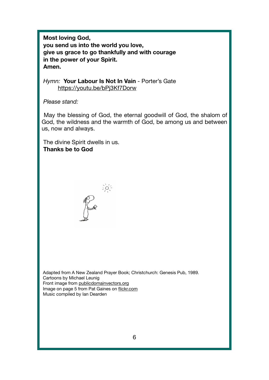**Most loving God, you send us into the world you love, give us grace to go thankfully and with courage in the power of your Spirit. Amen.** 

*Hymn:* **Your Labour Is Not In Vain** - Porter's Gate <https://youtu.be/bPj3Kf7Dorw>

 *Please stand:* 

 May the blessing of God, the eternal goodwill of God, the shalom of God, the wildness and the warmth of God, be among us and between us, now and always.

 The divine Spirit dwells in us.  **Thanks be to God** 



 Adapted from A New Zealand Prayer Book; Christchurch: Genesis Pub, 1989. Cartoons by Michael Leunig Front image from [publicdomainvectors.org](http://publicdomainvectors.org) Image on page 5 from Pat Gaines on [flickr.com](http://flickr.com) Music compiled by Ian Dearden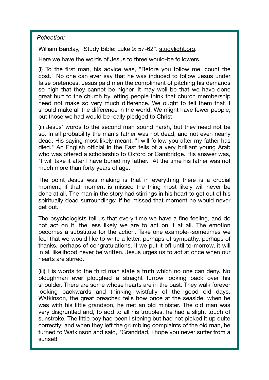*Reflection:* 

William Barclay, "Study Bible: Luke 9: 57-62". [studylight.org.](http://studylight.org)

Here we have the words of Jesus to three would-be followers.

(i) To the first man, his advice was, "Before you follow me, count the cost." No one can ever say that he was induced to follow Jesus under false pretences. Jesus paid men the compliment of pitching his demands so high that they cannot be higher. It may well be that we have done great hurt to the church by letting people think that church membership need not make so very much difference. We ought to tell them that it should make all the difference in the world. We might have fewer people; but those we had would be really pledged to Christ.

(ii) Jesus' words to the second man sound harsh, but they need not be so. In all probability the man's father was not dead, and not even nearly dead. His saying most likely meant, "I will follow you after my father has died." An English official in the East tells of a very brilliant young Arab who was offered a scholarship to Oxford or Cambridge. His answer was, "I will take it after I have buried my father." At the time his father was not much more than forty years of age.

The point Jesus was making is that in everything there is a crucial moment; if that moment is missed the thing most likely will never be done at all. The man in the story had stirrings in his heart to get out of his spiritually dead surroundings; if he missed that moment he would never get out.

The psychologists tell us that every time we have a fine feeling, and do not act on it, the less likely we are to act on it at all. The emotion becomes a substitute for the action. Take one example--sometimes we feel that we would like to write a letter, perhaps of sympathy, perhaps of thanks, perhaps of congratulations. If we put it off until to-morrow, it will in all likelihood never be written. Jesus urges us to act at once when our hearts are stirred.

(iii) His words to the third man state a truth which no one can deny. No ploughman ever ploughed a straight furrow looking back over his shoulder. There are some whose hearts are in the past. They walk forever looking backwards and thinking wistfully of the good old days. Watkinson, the great preacher, tells how once at the seaside, when he was with his little grandson, he met an old minister. The old man was very disgruntled and, to add to all his troubles, he had a slight touch of sunstroke. The little boy had been listening but had not picked it up quite correctly; and when they left the grumbling complaints of the old man, he turned to Watkinson and said, "Granddad, I hope you never suffer from a sunset!"